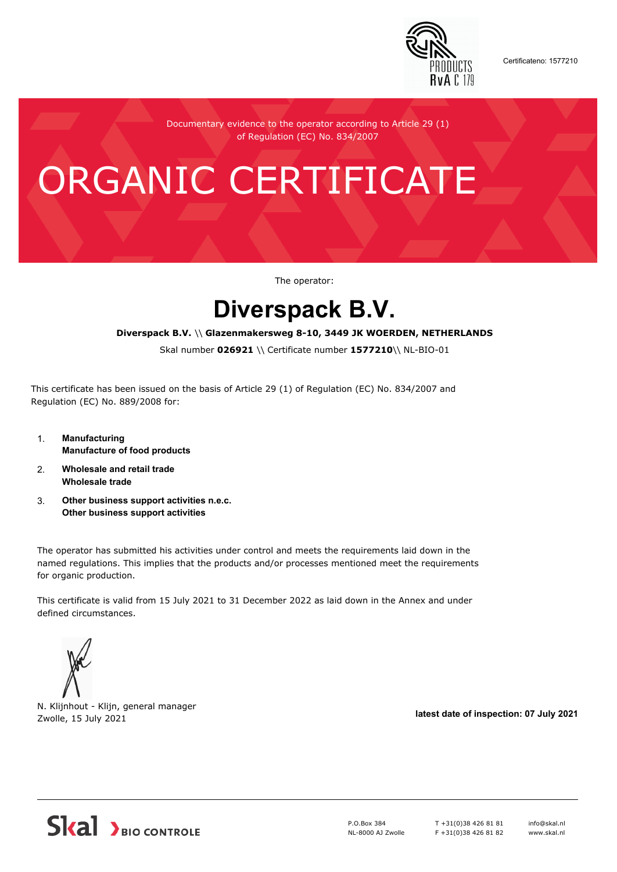

Certificateno: 1577210

Documentary evidence to the operator according to Article 29 (1) of Regulation (EC) No. 834/2007

# ORGANIC CERTIFICATE

The operator:

## **Diverspack B.V.**

#### **Diverspack B.V.** \\ **Glazenmakersweg 8-10, 3449 JK WOERDEN, NETHERLANDS**

Skal number **026921** \\ Certificate number **1577210**\\ NL-BIO-01

This certificate has been issued on the basis of Article 29 (1) of Regulation (EC) No. 834/2007 and Regulation (EC) No. 889/2008 for:

- 1. **Manufacturing Manufacture of food products**
- 2. **Wholesale and retail trade Wholesale trade**
- 3. **Other business support activities n.e.c. Other business support activities**

The operator has submitted his activities under control and meets the requirements laid down in the named regulations. This implies that the products and/or processes mentioned meet the requirements for organic production.

This certificate is valid from 15 July 2021 to 31 December 2022 as laid down in the Annex and under defined circumstances.



N. Klijnhout - Klijn, general manager Zwolle, 15 July 2021 **latest date of inspection: 07 July 2021**



P.O.Box 384 NL-8000 AJ Zwolle T +31(0)38 426 81 81 F +31(0)38 426 81 82 info@skal.nl www.skal.nl